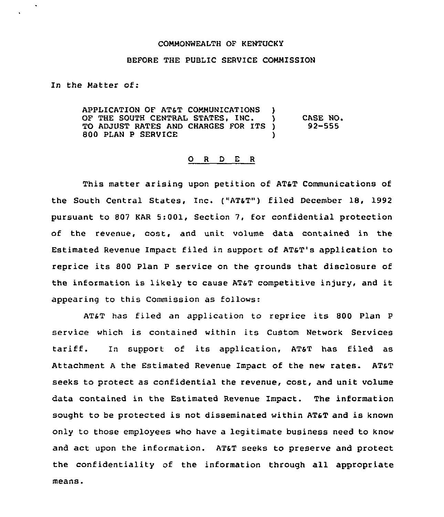## COMMONNEALTH OF KENTUCKY

## BEFORE THE PUBLIC SERVICE COMMISSION

In the Matter of:

APPLICATION OF AT&T COMMUNICATIONS )<br>OF THE SOUTH CENTRAL STATES. INC. OF THE SOUTH CENTRAL STATES, INC. TO ADJUST RATES AND CHARGES FOR ITS )<br>800 PLAN P SERVICE 800 PLAN P SERVICE ) CASE NO. 92-555

## 0 <sup>R</sup> <sup>D</sup> <sup>E</sup> <sup>R</sup>

This matter arising upon petition of AT&T Communications of the South Central States, Inc. ("AT&T") filed December 18, 1992 pursuant to 807 KAR 5:001, Section 7, for confidential protection of the revenue, cost, and unit volume data contained in the Estimated Revenue Impact filed in support of AT&T's application to reprice its 800 Plan <sup>P</sup> service on the grounds that disclosure of the information is likely to cause AT&T competitive injury, and it appearing to this Commission as follows:

AT&T has filed an application to reprice its 800 Plan <sup>P</sup> service which is contained within its Custom Network Services tariff. In support of its application, AT&T has filed as Attachment <sup>A</sup> the Estimated Revenue Impact of the new rates. AT&T seeks to protect as confidential the revenue, cost, and unit volume data contained in the Estimated Revenue Impact. The information sought to be protected is not disseminated within AT&T and is known only to those employees who have a legitimate business need to know and act upon the information. AT&T seeks to preserve and protect the confidentiality of the information through all appropriate means.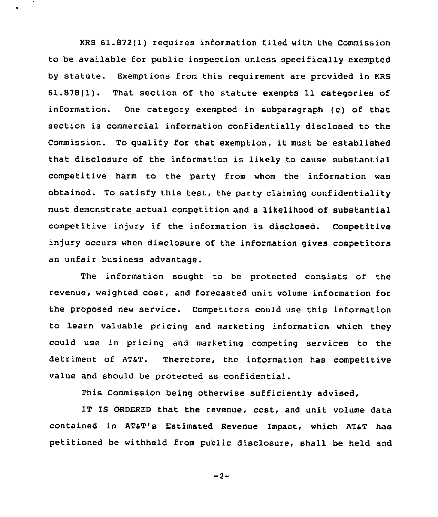KRS 61.872(1) requires information filed with the Commission to be available for public inspection unless specifically exempted by statute. Exemptions from this requirement are provided in KRS 61.878(1). That section of the statute exempts 11 categories of information. One category exempted in subparagraph (c) of that section is commercial information confidentially disclosed to the Commission. To qualify for that exemption, it must be established that disclosure of the information is likely to cause substantial competitive harm to the party from whom the information was obtained. To satisfy this test, the party claiming confidentiality must demonstrate actual competition and a likelihood of substantial competitive injury if the information is disclosed. Competitive injury occurs when disclosure of the information gives competitors an unfair business advantage.

The information sought to be protected consists of the revenue, weighted cost, and forecasted unit volume information for the proposed new service. Competitors could use this information to learn valuable pricing and marketing information which they could use in pricing and marketing competing services to the detriment of AT&T. Therefore, the information has competitive value and should be protected as confidential.

This Commission being otherwise sufficiently advised,

IT IS ORDERED that the revenue, cost, and unit volume data contained in ATST's Estimated Revenue Impact, which ATaT has petitioned be withheld from public disclosure, shall be held and

 $-2-$